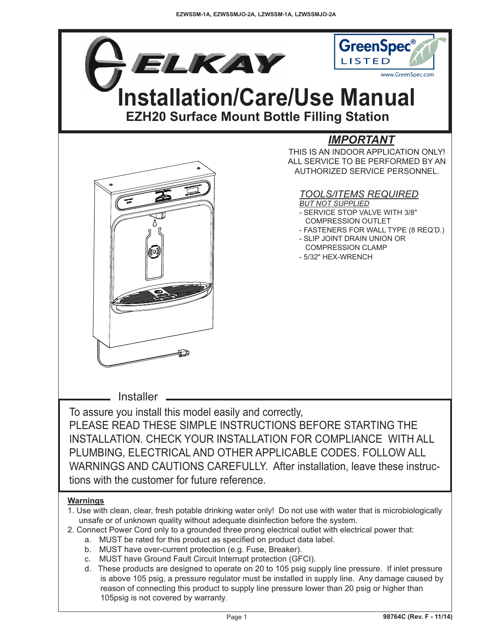

- c. MUST have Ground Fault Circuit Interrupt protection (GFCI).
- d. These products are designed to operate on 20 to 105 psig supply line pressure. If inlet pressure is above 105 psig, a pressure regulator must be installed in supply line. Any damage caused by reason of connecting this product to supply line pressure lower than 20 psig or higher than 105psig is not covered by warranty.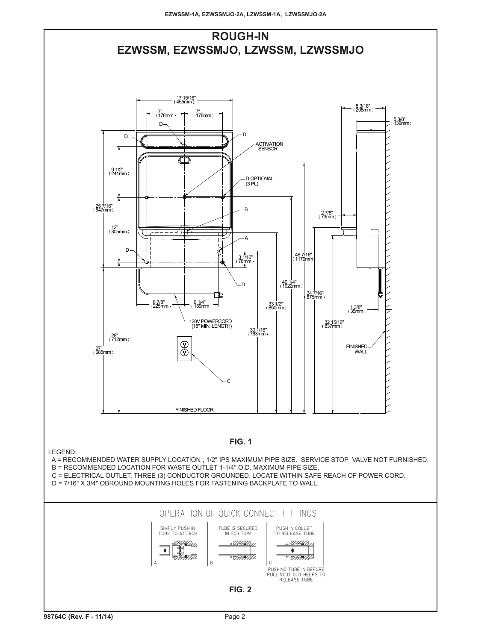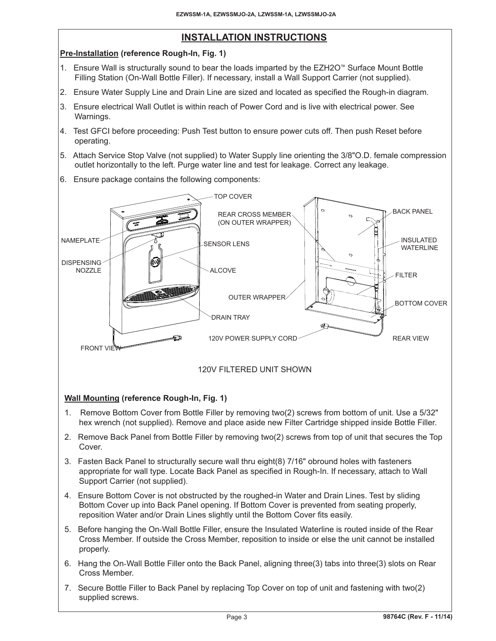## **INSTALLATION INSTRUCTIONS**

## **Pre-Installation (reference Rough-In, Fig. 1)**

- 1. Ensure Wall is structurally sound to bear the loads imparted by the EZH2O™ Surface Mount Bottle Filling Station (On-Wall Bottle Filler). If necessary, install a Wall Support Carrier (not supplied).
- 2. Ensure Water Supply Line and Drain Line are sized and located as specified the Rough-in diagram.
- 3. Ensure electrical Wall Outlet is within reach of Power Cord and is live with electrical power. See Warnings.
- 4. Test GFCI before proceeding: Push Test button to ensure power cuts off. Then push Reset before operating.
- 5. Attach Service Stop Valve (not supplied) to Water Supply line orienting the 3/8"O.D. female compression outlet horizontally to the left. Purge water line and test for leakage. Correct any leakage.
- 6. Ensure package contains the following components:



## **Wall Mounting (reference Rough-In, Fig. 1)**

- 1. Remove Bottom Cover from Bottle Filler by removing two(2) screws from bottom of unit. Use a 5/32" hex wrench (not supplied). Remove and place aside new Filter Cartridge shipped inside Bottle Filler.
- 2. Remove Back Panel from Bottle Filler by removing two(2) screws from top of unit that secures the Top Cover.
- 3. Fasten Back Panel to structurally secure wall thru eight(8) 7/16" obround holes with fasteners appropriate for wall type. Locate Back Panel as specified in Rough-In. If necessary, attach to Wall Support Carrier (not supplied).
- 4. Ensure Bottom Cover is not obstructed by the roughed-in Water and Drain Lines. Test by sliding Bottom Cover up into Back Panel opening. If Bottom Cover is prevented from seating properly, reposition Water and/or Drain Lines slightly until the Bottom Cover fits easily.
- 5. Before hanging the On-Wall Bottle Filler, ensure the Insulated Waterline is routed inside of the Rear Cross Member. If outside the Cross Member, reposition to inside or else the unit cannot be installed properly.
- 6. Hang the On-Wall Bottle Filler onto the Back Panel, aligning three(3) tabs into three(3) slots on Rear Cross Member.
- 7. Secure Bottle Filler to Back Panel by replacing Top Cover on top of unit and fastening with two(2) supplied screws.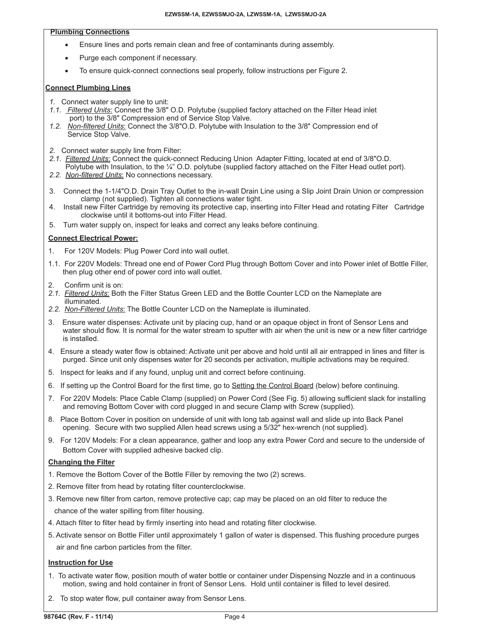### **Plumbing Connections**

- Ensure lines and ports remain clean and free of contaminants during assembly.
- Purge each component if necessary.
- To ensure quick-connect connections seal properly, follow instructions per Figure 2.

## **Connect Plumbing Lines**

- *1.* Connect water supply line to unit:
- *1.1. Filtered Units*: Connect the 3/8" O.D. Polytube (supplied factory attached on the Filter Head inlet port) to the 3/8" Compression end of Service Stop Valve.
- *1.2. Non-filtered Units*: Connect the 3/8"O.D. Polytube with Insulation to the 3/8" Compression end of Service Stop Valve.
- *2.* Connect water supply line from Filter:
- *2.1. Filtered Units*: Connect the quick-connect Reducing Union Adapter Fitting, located at end of 3/8"O.D. Polytube with Insulation, to the ¼" O.D. polytube (supplied factory attached on the Filter Head outlet port).
- *2.2. Non-filtered Units*: No connections necessary.
- 3. Connect the 1-1/4"O.D. Drain Tray Outlet to the in-wall Drain Line using a Slip Joint Drain Union or compression clamp (not supplied). Tighten all connections water tight.
- 4. Install new Filter Cartridge by removing its protective cap, inserting into Filter Head and rotating Filter Cartridge clockwise until it bottoms-out into Filter Head.
- 5. Turn water supply on, inspect for leaks and correct any leaks before continuing.

## **Connect Electrical Power:**

- 1. For 120V Models: Plug Power Cord into wall outlet.
- 1.1. For 220V Models: Thread one end of Power Cord Plug through Bottom Cover and into Power inlet of Bottle Filler, then plug other end of power cord into wall outlet.
- 2. Confirm unit is on:
- *2.1. Filtered Units*: Both the Filter Status Green LED and the Bottle Counter LCD on the Nameplate are illuminated.
- *2.2. Non-Filtered Units*: The Bottle Counter LCD on the Nameplate is illuminated.
- 3. Ensure water dispenses: Activate unit by placing cup, hand or an opaque object in front of Sensor Lens and water should flow. It is normal for the water stream to sputter with air when the unit is new or a new filter cartridge is installed.
- 4. Ensure a steady water flow is obtained: Activate unit per above and hold until all air entrapped in lines and filter is purged. Since unit only dispenses water for 20 seconds per activation, multiple activations may be required.
- 5. Inspect for leaks and if any found, unplug unit and correct before continuing.
- 6. If setting up the Control Board for the first time, go to Setting the Control Board (below) before continuing.
- 7. For 220V Models: Place Cable Clamp (supplied) on Power Cord (See Fig. 5) allowing sufficient slack for installing and removing Bottom Cover with cord plugged in and secure Clamp with Screw (supplied).
- 8. Place Bottom Cover in position on underside of unit with long tab against wall and slide up into Back Panel opening. Secure with two supplied Allen head screws using a 5/32" hex-wrench (not supplied).
- 9. For 120V Models: For a clean appearance, gather and loop any extra Power Cord and secure to the underside of Bottom Cover with supplied adhesive backed clip.

## **Changing the Filter**

- 1. Remove the Bottom Cover of the Bottle Filler by removing the two (2) screws.
- 2. Remove filter from head by rotating filter counterclockwise.
- 3. Remove new filter from carton, remove protective cap; cap may be placed on an old filter to reduce the chance of the water spilling from filter housing.
- 4. Attach filter to filter head by firmly inserting into head and rotating filter clockwise.
- 5. Activate sensor on Bottle Filler until approximately 1 gallon of water is dispensed. This flushing procedure purges air and fine carbon particles from the filter.

## **Instruction for Use**

- 1. To activate water flow, position mouth of water bottle or container under Dispensing Nozzle and in a continuous motion, swing and hold container in front of Sensor Lens. Hold until container is filled to level desired.
- 2. To stop water flow, pull container away from Sensor Lens.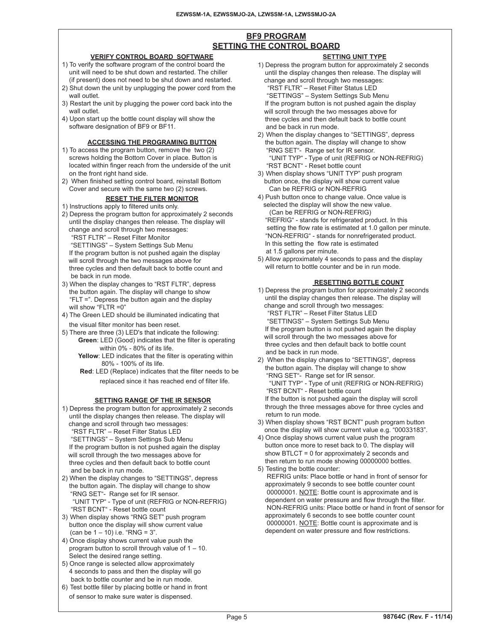## **BF9 PROGRAM SETTING THE CONTROL BOARD**

#### **VERIFY CONTROL BOARD SOFTWARE**

- 1) To verify the software program of the control board the unit will need to be shut down and restarted. The chiller (if present) does not need to be shut down and restarted.
- 2) Shut down the unit by unplugging the power cord from the wall outlet.
- 3) Restart the unit by plugging the power cord back into the wall outlet.
- 4) Upon start up the bottle count display will show the software designation of BF9 or BF11.

#### **ACCESSING THE PROGRAMING BUTTON**

- 1) To access the program button, remove the two (2) screws holding the Bottom Cover in place. Button is located within finger reach from the underside of the unit on the front right hand side.
- 2) When finished setting control board, reinstall Bottom Cover and secure with the same two (2) screws.

## **RESET THE FILTER MONITOR**

- 1) Instructions apply to filtered units only.
- 2) Depress the program button for approximately 2 seconds until the display changes then release. The display will change and scroll through two messages: "RST FLTR" – Reset Filter Monitor
- "SETTINGS" System Settings Sub Menu If the program button is not pushed again the display will scroll through the two messages above for three cycles and then default back to bottle count and be back in run mode.
- 3) When the display changes to "RST FLTR", depress the button again. The display will change to show "FLT =". Depress the button again and the display will show "FLTR =0"
- 4) The Green LED should be illuminated indicating that the visual filter monitor has been reset.
- 5) There are three (3) LED's that indicate the following:
	- **Green**: LED (Good) indicates that the filter is operating within 0% - 80% of its life.
		- **Yellow**: LED indicates that the filter is operating within 80% - 100% of its life.
		- **Red**: LED (Replace) indicates that the filter needs to be replaced since it has reached end of filter life.

#### **SETTING RANGE OF THE IR SENSOR**

- 1) Depress the program button for approximately 2 seconds until the display changes then release. The display will change and scroll through two messages: "RST FLTR" – Reset Filter Status LED "SETTINGS" – System Settings Sub Menu If the program button is not pushed again the display will scroll through the two messages above for three cycles and then default back to bottle count and be back in run mode.
- 2) When the display changes to "SETTINGS", depress the button again. The display will change to show "RNG SET"- Range set for IR sensor. "UNIT TYP" - Type of unit (REFRIG or NON-REFRIG) "RST BCNT" - Reset bottle count
- 3) When display shows "RNG SET" push program button once the display will show current value (can be  $1 - 10$ ) i.e. "RNG =  $3$ ".
- 4) Once display shows current value push the program button to scroll through value of 1 – 10. Select the desired range setting.
- 5) Once range is selected allow approximately 4 seconds to pass and then the display will go back to bottle counter and be in run mode.
- 6) Test bottle filler by placing bottle or hand in front of sensor to make sure water is dispensed.

1) Depress the program button for approximately 2 seconds until the display changes then release. The display will change and scroll through two messages: "RST FLTR" – Reset Filter Status LED "SETTINGS" – System Settings Sub Menu If the program button is not pushed again the display will scroll through the two messages above for three cycles and then default back to bottle count and be back in run mode.

**SETTING UNIT TYPE**

- 2) When the display changes to "SETTINGS", depress the button again. The display will change to show "RNG SET"- Range set for IR sensor. "UNIT TYP" - Type of unit (REFRIG or NON-REFRIG) "RST BCNT" - Reset bottle count
- 3) When display shows "UNIT TYP" push program button once, the display will show current value Can be REFRIG or NON-REFRIG
- 4) Push button once to change value. Once value is selected the display will show the new value. (Can be REFRIG or NON-REFRIG) "REFRIG" - stands for refrigerated product. In this setting the flow rate is estimated at 1.0 gallon per minute. "NON-REFRIG" - stands for nonrefrigerated product. In this setting the flow rate is estimated at 1.5 gallons per minute.
- 5) Allow approximately 4 seconds to pass and the display will return to bottle counter and be in run mode.

## **RESETTING BOTTLE COUNT**

- 1) Depress the program button for approximately 2 seconds until the display changes then release. The display will change and scroll through two messages: "RST FLTR" – Reset Filter Status LED "SETTINGS" – System Settings Sub Menu If the program button is not pushed again the display will scroll through the two messages above for three cycles and then default back to bottle count and be back in run mode.
- 2) When the display changes to "SETTINGS", depress the button again. The display will change to show "RNG SET"- Range set for IR sensor. "UNIT TYP" - Type of unit (REFRIG or NON-REFRIG) "RST BCNT" - Reset bottle count If the button is not pushed again the display will scroll through the three messages above for three cycles and return to run mode.
- 3) When display shows "RST BCNT" push program button once the display will show current value e.g. "00033183".
- 4) Once display shows current value push the program button once more to reset back to 0. The display will show BTLCT = 0 for approximately 2 seconds and then return to run mode showing 00000000 bottles.
- 5) Testing the bottle counter: REFRIG units: Place bottle or hand in front of sensor for approximately 9 seconds to see bottle counter count 00000001. NOTE: Bottle count is approximate and is dependent on water pressure and flow through the filter. NON-REFRIG units: Place bottle or hand in front of sensor for approximately 6 seconds to see bottle counter count 00000001. NOTE: Bottle count is approximate and is dependent on water pressure and flow restrictions.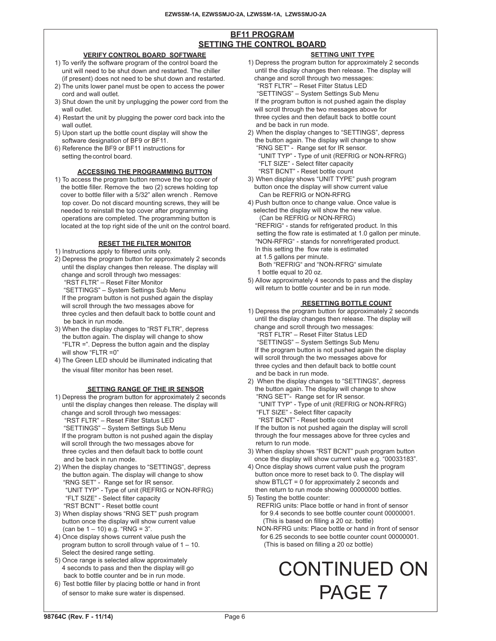## **BF11 PROGRAM SETTING THE CONTROL BOARD**

#### **VERIFY CONTROL BOARD SOFTWARE**

- 1) To verify the software program of the control board the unit will need to be shut down and restarted. The chiller (if present) does not need to be shut down and restarted.
- 2) The units lower panel must be open to access the power cord and wall outlet.
- 3) Shut down the unit by unplugging the power cord from the wall outlet.
- 4) Restart the unit by plugging the power cord back into the wall outlet.
- 5) Upon start up the bottle count display will show the software designation of BF9 or BF11.
- 6) Reference the BF9 or BF11 instructions for setting thecontrol board.

## **ACCESSING THE PROGRAMMING BUTTON**

1) To access the program button remove the top cover of the bottle filler. Remove the two (2) screws holding top cover to bottle filler with a 5/32" allen wrench . Remove top cover. Do not discard mounting screws, they will be needed to reinstall the top cover after programming operations are completed. The programming button is located at the top right side of the unit on the control board.

## **RESET THE FILTER MONITOR**

- 1) Instructions apply to filtered units only.
- 2) Depress the program button for approximately 2 seconds until the display changes then release. The display will change and scroll through two messages: "RST FLTR" – Reset Filter Monitor "SETTINGS" – System Settings Sub Menu If the program button is not pushed again the display will scroll through the two messages above for three cycles and then default back to bottle count and
- be back in run mode. 3) When the display changes to "RST FLTR", depress the button again. The display will change to show "FLTR =". Depress the button again and the display will show "FLTR =0"
- 4) The Green LED should be illuminated indicating that the visual filter monitor has been reset.

#### **SETTING RANGE OF THE IR SENSOR**

- 1) Depress the program button for approximately 2 seconds until the display changes then release. The display will change and scroll through two messages: "RST FLTR" – Reset Filter Status LED "SETTINGS" – System Settings Sub Menu If the program button is not pushed again the display will scroll through the two messages above for three cycles and then default back to bottle count and be back in run mode. 2) When the display changes to "SETTINGS", depress the button again. The display will change to show
- "RNG SET" Range set for IR sensor. "UNIT TYP" - Type of unit (REFRIG or NON-RFRG) "FLT SIZE" - Select filter capacity "RST BCNT" - Reset bottle count
- 3) When display shows "RNG SET" push program button once the display will show current value  $(can be 1 - 10) e.g. 'RNG = 3'.$
- 4) Once display shows current value push the program button to scroll through value of 1 – 10. Select the desired range setting.
- 5) Once range is selected allow approximately 4 seconds to pass and then the display will go back to bottle counter and be in run mode.
- 6) Test bottle filler by placing bottle or hand in front of sensor to make sure water is dispensed.

## **SETTING UNIT TYPE**

- 1) Depress the program button for approximately 2 seconds until the display changes then release. The display will change and scroll through two messages: "RST FLTR" – Reset Filter Status LED "SETTINGS" – System Settings Sub Menu If the program button is not pushed again the display will scroll through the two messages above for three cycles and then default back to bottle count and be back in run mode.
- 2) When the display changes to "SETTINGS", depress the button again. The display will change to show "RNG SET" - Range set for IR sensor. "UNIT TYP" - Type of unit (REFRIG or NON-RFRG) "FLT SIZE" - Select filter capacity "RST BCNT" - Reset bottle count
- 3) When display shows "UNIT TYPE" push program button once the display will show current value Can be REFRIG or NON-RFRG
- 4) Push button once to change value. Once value is selected the display will show the new value. (Can be REFRIG or NON-RFRG) "REFRIG" - stands for refrigerated product. In this setting the flow rate is estimated at 1.0 gallon per minute. "NON-RFRG" - stands for nonrefrigerated product. In this setting the flow rate is estimated at 1.5 gallons per minute. Both "REFRIG" and "NON-RFRG" simulate
- 1 bottle equal to 20 oz.
- 5) Allow approximately 4 seconds to pass and the display will return to bottle counter and be in run mode.

## **RESETTING BOTTLE COUNT**

- 1) Depress the program button for approximately 2 seconds until the display changes then release. The display will change and scroll through two messages: "RST FLTR" – Reset Filter Status LED "SETTINGS" – System Settings Sub Menu If the program button is not pushed again the display will scroll through the two messages above for three cycles and then default back to bottle count and be back in run mode.
- 2) When the display changes to "SETTINGS", depress the button again. The display will change to show "RNG SET"- Range set for IR sensor. "UNIT TYP" - Type of unit (REFRIG or NON-RFRG) "FLT SIZE" - Select filter capacity "RST BCNT" - Reset bottle count If the button is not pushed again the display will scroll

 through the four messages above for three cycles and return to run mode.

- 3) When display shows "RST BCNT" push program button once the display will show current value e.g. "00033183".
- 4) Once display shows current value push the program button once more to reset back to 0. The display will show BTLCT = 0 for approximately 2 seconds and then return to run mode showing 00000000 bottles.
- 5) Testing the bottle counter:
	- REFRIG units: Place bottle or hand in front of sensor for 9.4 seconds to see bottle counter count 00000001. (This is based on filling a 20 oz. bottle)
	- NON-RFRG units: Place bottle or hand in front of sensor for 6.25 seconds to see bottle counter count 00000001. (This is based on filling a 20 oz bottle)

# CONTINUED ON PAGE 7